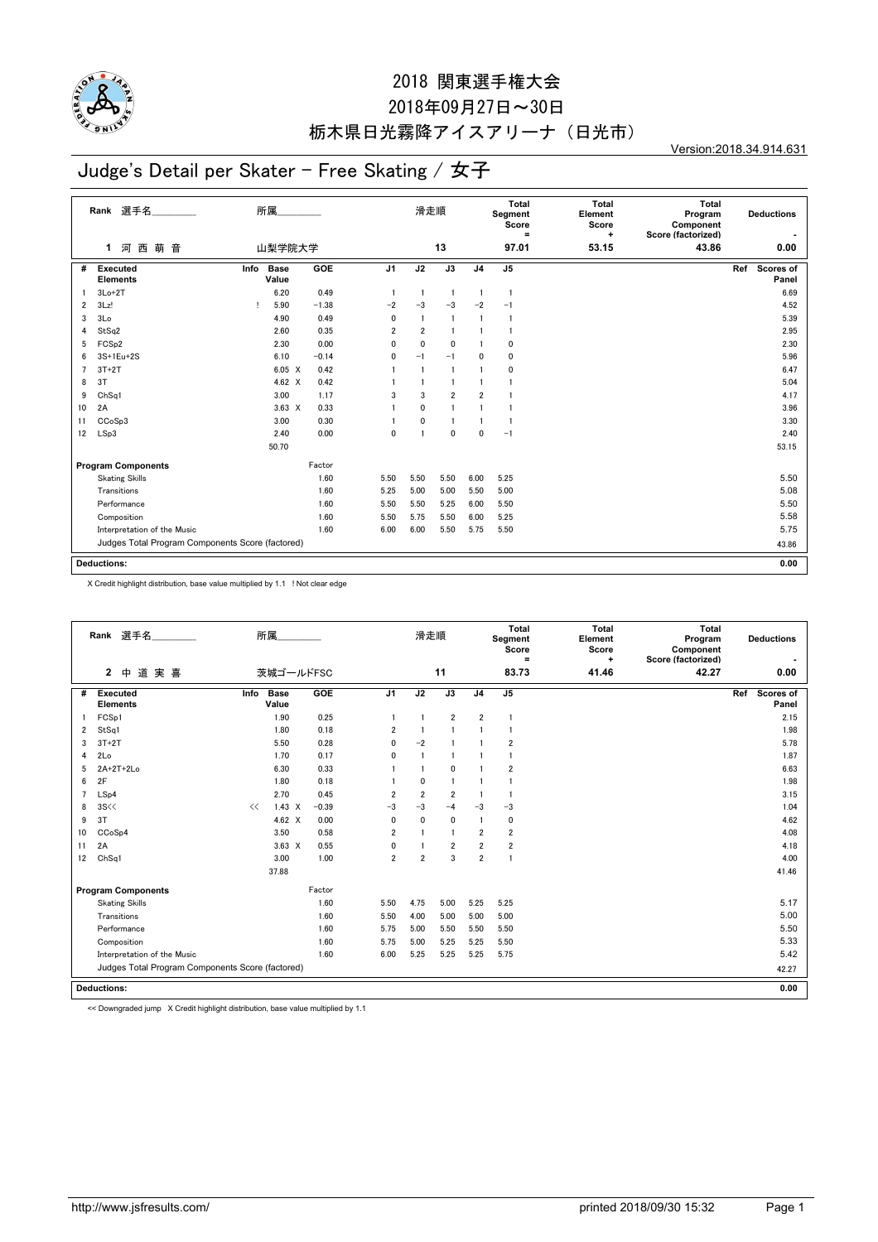

## 2018年09月27日~30日 栃木県日光霧降アイスアリーナ(日光市)

Version:2018.34.914.631

## Judge's Detail per Skater - Free Skating / 女子

|                | Rank 選手名<br>萌<br>音<br>河西<br>1                    |      | 所属<br>山梨学院大学         |         |                | 滑走順                     | 13             |                | <b>Total</b><br>Segment<br>Score<br>$\equiv$<br>97.01 | <b>Total</b><br>Element<br>Score<br>$\ddot{}$<br>53.15 | <b>Total</b><br>Program<br>Component<br>Score (factorized)<br>43.86 | <b>Deductions</b><br>0.00 |
|----------------|--------------------------------------------------|------|----------------------|---------|----------------|-------------------------|----------------|----------------|-------------------------------------------------------|--------------------------------------------------------|---------------------------------------------------------------------|---------------------------|
|                |                                                  |      |                      |         |                |                         |                |                |                                                       |                                                        |                                                                     |                           |
| #              | Executed<br><b>Elements</b>                      | Info | <b>Base</b><br>Value | GOE     | J <sub>1</sub> | J2                      | J3             | J <sub>4</sub> | J <sub>5</sub>                                        |                                                        |                                                                     | Scores of<br>Ref<br>Panel |
|                | $3Lo+2T$                                         |      | 6.20                 | 0.49    | $\overline{1}$ | $\overline{1}$          | $\overline{1}$ | $\mathbf{1}$   | $\mathbf{1}$                                          |                                                        |                                                                     | 6.69                      |
| $\overline{2}$ | 3Lz!                                             | Ţ.   | 5.90                 | $-1.38$ | $-2$           | $-3$                    | $-3$           | $-2$           | $-1$                                                  |                                                        |                                                                     | 4.52                      |
| 3              | 3 <sub>Lo</sub>                                  |      | 4.90                 | 0.49    | $\mathbf{0}$   | $\overline{1}$          | $\overline{1}$ | $\mathbf{1}$   | $\mathbf{1}$                                          |                                                        |                                                                     | 5.39                      |
| 4              | StSq2                                            |      | 2.60                 | 0.35    | $\overline{2}$ | $\overline{2}$          | $\overline{1}$ |                | $\mathbf{1}$                                          |                                                        |                                                                     | 2.95                      |
| 5              | FCS <sub>p2</sub>                                |      | 2.30                 | 0.00    | 0              | $\mathbf 0$             | $\mathbf 0$    |                | 0                                                     |                                                        |                                                                     | 2.30                      |
| 6              | 3S+1Eu+2S                                        |      | 6.10                 | $-0.14$ | 0              | $-1$                    | $-1$           | $\mathbf 0$    | 0                                                     |                                                        |                                                                     | 5.96                      |
| $\overline{7}$ | $3T+2T$                                          |      | 6.05 X               | 0.42    |                | $\overline{\mathbf{1}}$ | $\blacksquare$ |                | 0                                                     |                                                        |                                                                     | 6.47                      |
| 8              | 3T                                               |      | 4.62 $\times$        | 0.42    |                |                         |                |                | 1                                                     |                                                        |                                                                     | 5.04                      |
| 9              | ChSq1                                            |      | 3.00                 | 1.17    | 3              | 3                       | $\overline{2}$ | $\overline{2}$ |                                                       |                                                        |                                                                     | 4.17                      |
| 10             | 2A                                               |      | $3.63 \times$        | 0.33    |                | $\mathbf 0$             |                |                | 1                                                     |                                                        |                                                                     | 3.96                      |
| 11             | CCoSp3                                           |      | 3.00                 | 0.30    |                | 0                       |                |                | -1                                                    |                                                        |                                                                     | 3.30                      |
| 12             | LSp3                                             |      | 2.40                 | 0.00    | $\mathbf 0$    | -1                      | $\mathbf 0$    | $\mathbf{0}$   | $-1$                                                  |                                                        |                                                                     | 2.40                      |
|                |                                                  |      | 50.70                |         |                |                         |                |                |                                                       |                                                        |                                                                     | 53.15                     |
|                | <b>Program Components</b>                        |      |                      | Factor  |                |                         |                |                |                                                       |                                                        |                                                                     |                           |
|                | <b>Skating Skills</b>                            |      |                      | 1.60    | 5.50           | 5.50                    | 5.50           | 6.00           | 5.25                                                  |                                                        |                                                                     | 5.50                      |
|                | Transitions                                      |      |                      | 1.60    | 5.25           | 5.00                    | 5.00           | 5.50           | 5.00                                                  |                                                        |                                                                     | 5.08                      |
|                | Performance                                      |      |                      | 1.60    | 5.50           | 5.50                    | 5.25           | 6.00           | 5.50                                                  |                                                        |                                                                     | 5.50                      |
|                | Composition                                      |      |                      | 1.60    | 5.50           | 5.75                    | 5.50           | 6.00           | 5.25                                                  |                                                        |                                                                     | 5.58                      |
|                | Interpretation of the Music                      |      |                      | 1.60    | 6.00           | 6.00                    | 5.50           | 5.75           | 5.50                                                  |                                                        |                                                                     | 5.75                      |
|                | Judges Total Program Components Score (factored) |      |                      |         |                |                         |                |                |                                                       |                                                        |                                                                     | 43.86                     |
|                | <b>Deductions:</b>                               |      |                      |         |                |                         |                |                |                                                       |                                                        |                                                                     | 0.00                      |

X Credit highlight distribution, base value multiplied by 1.1 ! Not clear edge

|                | Rank 選手名<br>道実喜<br>$\mathbf{2}$<br>中             |      | 所属<br>茨城ゴールドFSC      |         |                | 滑走順            | 11             |                | Total<br>Segment<br>Score<br>$\equiv$<br>83.73 | <b>Total</b><br>Element<br>Score<br>٠<br>41.46 | Total<br>Program<br>Component<br>Score (factorized)<br>42.27 |     | <b>Deductions</b><br>0.00 |
|----------------|--------------------------------------------------|------|----------------------|---------|----------------|----------------|----------------|----------------|------------------------------------------------|------------------------------------------------|--------------------------------------------------------------|-----|---------------------------|
|                |                                                  |      |                      |         |                |                |                |                |                                                |                                                |                                                              |     |                           |
| #              | <b>Executed</b><br><b>Elements</b>               | Info | <b>Base</b><br>Value | GOE     | J <sub>1</sub> | J2             | J3             | J <sub>4</sub> | J <sub>5</sub>                                 |                                                |                                                              | Ref | <b>Scores of</b><br>Panel |
|                | FCSp1                                            |      | 1.90                 | 0.25    | $\overline{1}$ | $\mathbf{1}$   | $\overline{2}$ | $\overline{2}$ | $\overline{1}$                                 |                                                |                                                              |     | 2.15                      |
| 2              | StSq1                                            |      | 1.80                 | 0.18    | $\overline{2}$ | $\overline{1}$ | $\overline{1}$ | $\mathbf{1}$   | $\mathbf{1}$                                   |                                                |                                                              |     | 1.98                      |
| 3              | $3T+2T$                                          |      | 5.50                 | 0.28    | $\mathbf{0}$   | $-2$           |                |                | $\overline{2}$                                 |                                                |                                                              |     | 5.78                      |
| 4              | 2Lo                                              |      | 1.70                 | 0.17    | $\mathbf{0}$   | $\mathbf{1}$   | $\blacksquare$ |                | -1                                             |                                                |                                                              |     | 1.87                      |
| 5              | 2A+2T+2Lo                                        |      | 6.30                 | 0.33    |                | $\mathbf{1}$   | $\mathbf{0}$   |                | $\overline{2}$                                 |                                                |                                                              |     | 6.63                      |
| 6              | 2F                                               |      | 1.80                 | 0.18    |                | 0              | -1             |                | $\mathbf{1}$                                   |                                                |                                                              |     | 1.98                      |
| $\overline{7}$ | LSp4                                             |      | 2.70                 | 0.45    | $\overline{2}$ | $\overline{2}$ | $\overline{2}$ | $\mathbf{1}$   |                                                |                                                |                                                              |     | 3.15                      |
| 8              | 3S <                                             | <<   | $1.43 \times$        | $-0.39$ | $-3$           | $-3$           | $-4$           | $-3$           | $-3$                                           |                                                |                                                              |     | 1.04                      |
| 9              | 3T                                               |      | 4.62 $\times$        | 0.00    | $\mathbf{0}$   | $\mathbf{0}$   | $\mathbf 0$    | $\mathbf{1}$   | $\mathbf 0$                                    |                                                |                                                              |     | 4.62                      |
| 10             | CCoSp4                                           |      | 3.50                 | 0.58    | $\overline{2}$ | $\overline{1}$ | $\overline{1}$ | $\overline{2}$ | $\overline{2}$                                 |                                                |                                                              |     | 4.08                      |
| 11             | 2A                                               |      | $3.63 \times$        | 0.55    | $\mathbf{0}$   |                | $\overline{2}$ | $\overline{2}$ | $\overline{2}$                                 |                                                |                                                              |     | 4.18                      |
| 12             | ChSq1                                            |      | 3.00                 | 1.00    | $\overline{2}$ | $\overline{2}$ | 3              | $\overline{2}$ | $\overline{1}$                                 |                                                |                                                              |     | 4.00                      |
|                |                                                  |      | 37.88                |         |                |                |                |                |                                                |                                                |                                                              |     | 41.46                     |
|                | <b>Program Components</b>                        |      |                      | Factor  |                |                |                |                |                                                |                                                |                                                              |     |                           |
|                | <b>Skating Skills</b>                            |      |                      | 1.60    | 5.50           | 4.75           | 5.00           | 5.25           | 5.25                                           |                                                |                                                              |     | 5.17                      |
|                | Transitions                                      |      |                      | 1.60    | 5.50           | 4.00           | 5.00           | 5.00           | 5.00                                           |                                                |                                                              |     | 5.00                      |
|                | Performance                                      |      |                      | 1.60    | 5.75           | 5.00           | 5.50           | 5.50           | 5.50                                           |                                                |                                                              |     | 5.50                      |
|                | Composition                                      |      |                      | 1.60    | 5.75           | 5.00           | 5.25           | 5.25           | 5.50                                           |                                                |                                                              |     | 5.33                      |
|                | Interpretation of the Music                      |      |                      | 1.60    | 6.00           | 5.25           | 5.25           | 5.25           | 5.75                                           |                                                |                                                              |     | 5.42                      |
|                | Judges Total Program Components Score (factored) |      |                      |         |                |                |                |                |                                                |                                                |                                                              |     | 42.27                     |
|                | <b>Deductions:</b>                               |      |                      |         |                |                |                |                |                                                |                                                |                                                              |     | 0.00                      |

<< Downgraded jump X Credit highlight distribution, base value multiplied by 1.1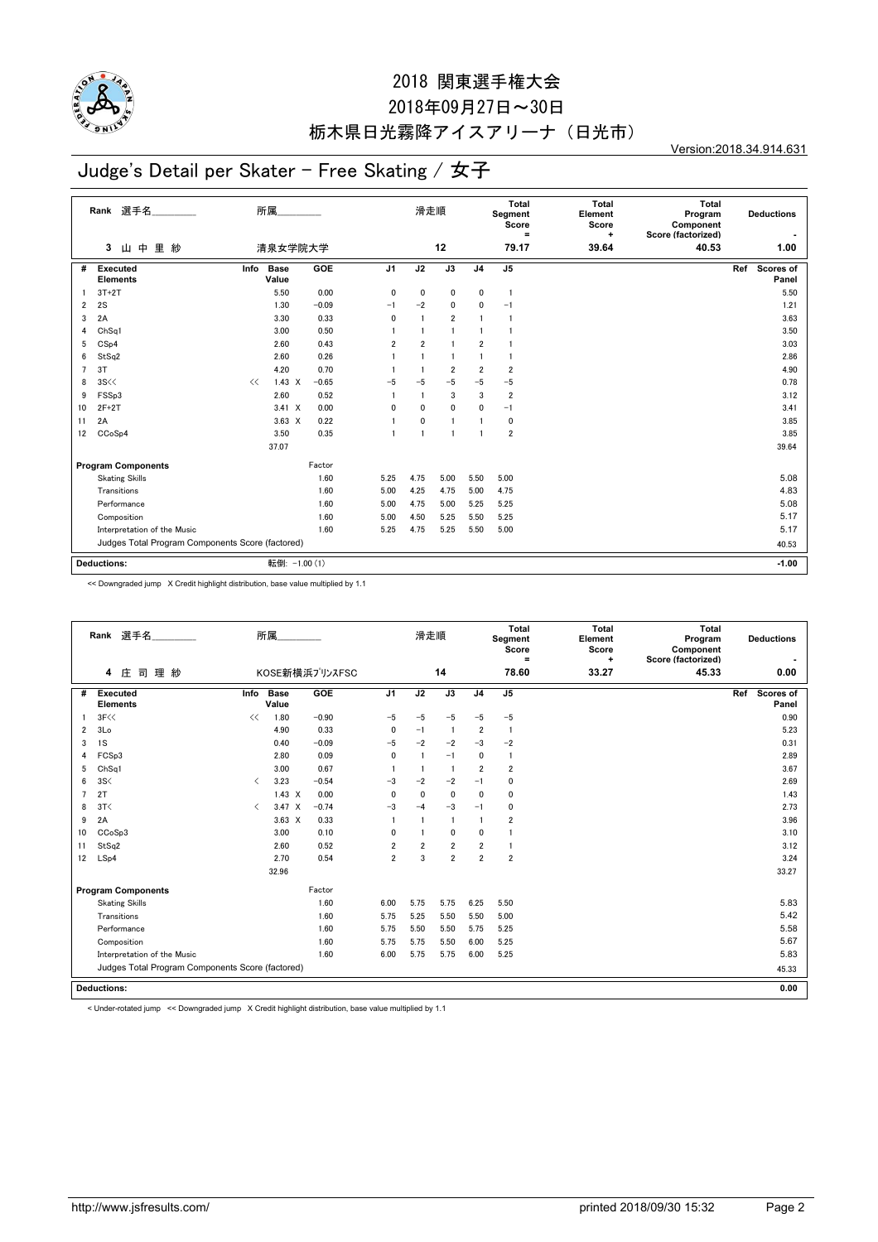

## 2018年09月27日~30日 栃木県日光霧降アイスアリーナ(日光市)

Version:2018.34.914.631

#### Judge's Detail per Skater - Free Skating / 女子

|                | Rank 選手名<br>里 紗<br>山中<br>3                       | 所属            | 清泉女学院大学       |         |                | 滑走順            | 12              |                | <b>Total</b><br>Segment<br>Score<br>Ξ<br>79.17 | <b>Total</b><br>Element<br>Score<br>٠<br>39.64 | Total<br>Program<br>Component<br>Score (factorized)<br>40.53 |     | <b>Deductions</b><br>1.00 |
|----------------|--------------------------------------------------|---------------|---------------|---------|----------------|----------------|-----------------|----------------|------------------------------------------------|------------------------------------------------|--------------------------------------------------------------|-----|---------------------------|
|                |                                                  |               |               |         |                |                |                 |                |                                                |                                                |                                                              |     |                           |
| #              | Executed<br><b>Elements</b>                      | Info<br>Value | <b>Base</b>   | GOE     | J <sub>1</sub> | J2             | $\overline{J3}$ | J <sub>4</sub> | J <sub>5</sub>                                 |                                                |                                                              | Ref | Scores of<br>Panel        |
|                | $3T+2T$                                          |               | 5.50          | 0.00    | 0              | 0              | 0               | 0              | $\mathbf{1}$                                   |                                                |                                                              |     | 5.50                      |
| 2              | 2S                                               |               | 1.30          | $-0.09$ | $-1$           | $-2$           | 0               | 0              | $-1$                                           |                                                |                                                              |     | 1.21                      |
| 3              | 2A                                               |               | 3.30          | 0.33    | 0              |                | $\overline{2}$  |                | $\mathbf{1}$                                   |                                                |                                                              |     | 3.63                      |
| 4              | Ch <sub>Sq1</sub>                                |               | 3.00          | 0.50    |                |                | 1               |                |                                                |                                                |                                                              |     | 3.50                      |
| 5              | CSp4                                             |               | 2.60          | 0.43    | $\overline{2}$ | $\overline{2}$ | 1               | $\overline{2}$ |                                                |                                                |                                                              |     | 3.03                      |
| 6              | StSq2                                            |               | 2.60          | 0.26    |                | $\overline{1}$ | $\blacksquare$  |                | $\mathbf{1}$                                   |                                                |                                                              |     | 2.86                      |
| $\overline{7}$ | 3T                                               |               | 4.20          | 0.70    |                |                | $\overline{2}$  | $\overline{2}$ | $\overline{2}$                                 |                                                |                                                              |     | 4.90                      |
| 8              | 3S <                                             | <<            | $1.43 \times$ | $-0.65$ | $-5$           | $-5$           | $-5$            | $-5$           | $-5$                                           |                                                |                                                              |     | 0.78                      |
| 9              | FSSp3                                            |               | 2.60          | 0.52    |                |                | 3               | 3              | $\overline{2}$                                 |                                                |                                                              |     | 3.12                      |
| 10             | $2F+2T$                                          |               | $3.41 \times$ | 0.00    | $\mathbf{0}$   | 0              | 0               | 0              | $-1$                                           |                                                |                                                              |     | 3.41                      |
| 11             | 2A                                               |               | $3.63 \times$ | 0.22    |                | 0              | 1               |                | 0                                              |                                                |                                                              |     | 3.85                      |
| 12             | CCoSp4                                           |               | 3.50          | 0.35    | $\overline{1}$ |                | 1               |                | $\overline{2}$                                 |                                                |                                                              |     | 3.85                      |
|                |                                                  |               | 37.07         |         |                |                |                 |                |                                                |                                                |                                                              |     | 39.64                     |
|                | <b>Program Components</b>                        |               |               | Factor  |                |                |                 |                |                                                |                                                |                                                              |     |                           |
|                | <b>Skating Skills</b>                            |               |               | 1.60    | 5.25           | 4.75           | 5.00            | 5.50           | 5.00                                           |                                                |                                                              |     | 5.08                      |
|                | Transitions                                      |               |               | 1.60    | 5.00           | 4.25           | 4.75            | 5.00           | 4.75                                           |                                                |                                                              |     | 4.83                      |
|                | Performance                                      |               |               | 1.60    | 5.00           | 4.75           | 5.00            | 5.25           | 5.25                                           |                                                |                                                              |     | 5.08                      |
|                | Composition                                      |               |               | 1.60    | 5.00           | 4.50           | 5.25            | 5.50           | 5.25                                           |                                                |                                                              |     | 5.17                      |
|                | Interpretation of the Music                      |               |               | 1.60    | 5.25           | 4.75           | 5.25            | 5.50           | 5.00                                           |                                                |                                                              |     | 5.17                      |
|                | Judges Total Program Components Score (factored) |               |               |         |                |                |                 |                |                                                |                                                |                                                              |     | 40.53                     |
|                |                                                  |               |               |         |                |                |                 |                |                                                |                                                |                                                              |     |                           |
|                | <b>Deductions:</b>                               |               | 転倒: -1.00 (1) |         |                |                |                 |                |                                                |                                                |                                                              |     | $-1.00$                   |

<< Downgraded jump X Credit highlight distribution, base value multiplied by 1.1

|    | 選手名<br>Rank<br>司理紗<br>庄<br>4                     |                               | 所属            | KOSE新横浜プリンスFSC |                | 滑走順            | 14             |                | Total<br>Segment<br>Score<br>Ξ<br>78.60 | Total<br>Element<br>Score<br>÷<br>33.27 | Total<br>Program<br>Component<br>Score (factorized)<br>45.33 | <b>Deductions</b><br>0.00 |
|----|--------------------------------------------------|-------------------------------|---------------|----------------|----------------|----------------|----------------|----------------|-----------------------------------------|-----------------------------------------|--------------------------------------------------------------|---------------------------|
| #  |                                                  |                               | <b>Base</b>   | <b>GOE</b>     | J <sub>1</sub> | J2             | J3             | J <sub>4</sub> | J <sub>5</sub>                          |                                         |                                                              | Ref                       |
|    | Executed<br><b>Elements</b>                      | Info                          | Value         |                |                |                |                |                |                                         |                                         |                                                              | Scores of<br>Panel        |
|    | 3F<<                                             | <<                            | 1.80          | $-0.90$        | $-5$           | $-5$           | $-5$           | $-5$           | $-5$                                    |                                         |                                                              | 0.90                      |
| 2  | 3 <sub>Lo</sub>                                  |                               | 4.90          | 0.33           | 0              | $-1$           | $\overline{1}$ | 2              | $\overline{1}$                          |                                         |                                                              | 5.23                      |
| 3  | 1S                                               |                               | 0.40          | $-0.09$        | $-5$           | $-2$           | $-2$           | $-3$           | $-2$                                    |                                         |                                                              | 0.31                      |
| 4  | FCSp3                                            |                               | 2.80          | 0.09           | $\mathbf{0}$   | $\overline{1}$ | $-1$           | 0              | $\mathbf{1}$                            |                                         |                                                              | 2.89                      |
| 5  | Ch <sub>Sq1</sub>                                |                               | 3.00          | 0.67           |                | $\overline{1}$ | $\overline{1}$ | $\overline{2}$ | $\overline{2}$                          |                                         |                                                              | 3.67                      |
| 6  | 3S<                                              | $\langle$                     | 3.23          | $-0.54$        | $-3$           | $-2$           | $-2$           | $-1$           | $\mathbf 0$                             |                                         |                                                              | 2.69                      |
| 7  | 2T                                               |                               | $1.43 \times$ | 0.00           | $\mathbf{0}$   | $\mathbf{0}$   | $\mathbf 0$    | $\mathbf 0$    | 0                                       |                                         |                                                              | 1.43                      |
| 8  | 3T<                                              | $\overline{\left( \right. }%$ | $3.47 \times$ | $-0.74$        | $-3$           | $-4$           | $-3$           | $-1$           | 0                                       |                                         |                                                              | 2.73                      |
| 9  | 2A                                               |                               | $3.63 \times$ | 0.33           | $\overline{1}$ |                | 1              | $\overline{1}$ | $\overline{2}$                          |                                         |                                                              | 3.96                      |
| 10 | CCoSp3                                           |                               | 3.00          | 0.10           | 0              |                | 0              | 0              | $\mathbf{1}$                            |                                         |                                                              | 3.10                      |
| 11 | StSq2                                            |                               | 2.60          | 0.52           | $\overline{2}$ | $\overline{2}$ | $\overline{2}$ | $\overline{2}$ | -1                                      |                                         |                                                              | 3.12                      |
| 12 | LSp4                                             |                               | 2.70          | 0.54           | $\overline{2}$ | 3              | $\overline{2}$ | $\overline{2}$ | $\overline{2}$                          |                                         |                                                              | 3.24                      |
|    |                                                  |                               | 32.96         |                |                |                |                |                |                                         |                                         |                                                              | 33.27                     |
|    | <b>Program Components</b>                        |                               |               | Factor         |                |                |                |                |                                         |                                         |                                                              |                           |
|    | <b>Skating Skills</b>                            |                               |               | 1.60           | 6.00           | 5.75           | 5.75           | 6.25           | 5.50                                    |                                         |                                                              | 5.83                      |
|    | Transitions                                      |                               |               | 1.60           | 5.75           | 5.25           | 5.50           | 5.50           | 5.00                                    |                                         |                                                              | 5.42                      |
|    | Performance                                      |                               |               | 1.60           | 5.75           | 5.50           | 5.50           | 5.75           | 5.25                                    |                                         |                                                              | 5.58                      |
|    | Composition                                      |                               |               | 1.60           | 5.75           | 5.75           | 5.50           | 6.00           | 5.25                                    |                                         |                                                              | 5.67                      |
|    | Interpretation of the Music                      |                               |               | 1.60           | 6.00           | 5.75           | 5.75           | 6.00           | 5.25                                    |                                         |                                                              | 5.83                      |
|    | Judges Total Program Components Score (factored) |                               |               |                |                |                |                |                |                                         |                                         |                                                              | 45.33                     |
|    | <b>Deductions:</b>                               |                               |               |                |                |                |                |                |                                         |                                         |                                                              | 0.00                      |
|    |                                                  |                               |               |                |                |                |                |                |                                         |                                         |                                                              |                           |

< Under-rotated jump << Downgraded jump X Credit highlight distribution, base value multiplied by 1.1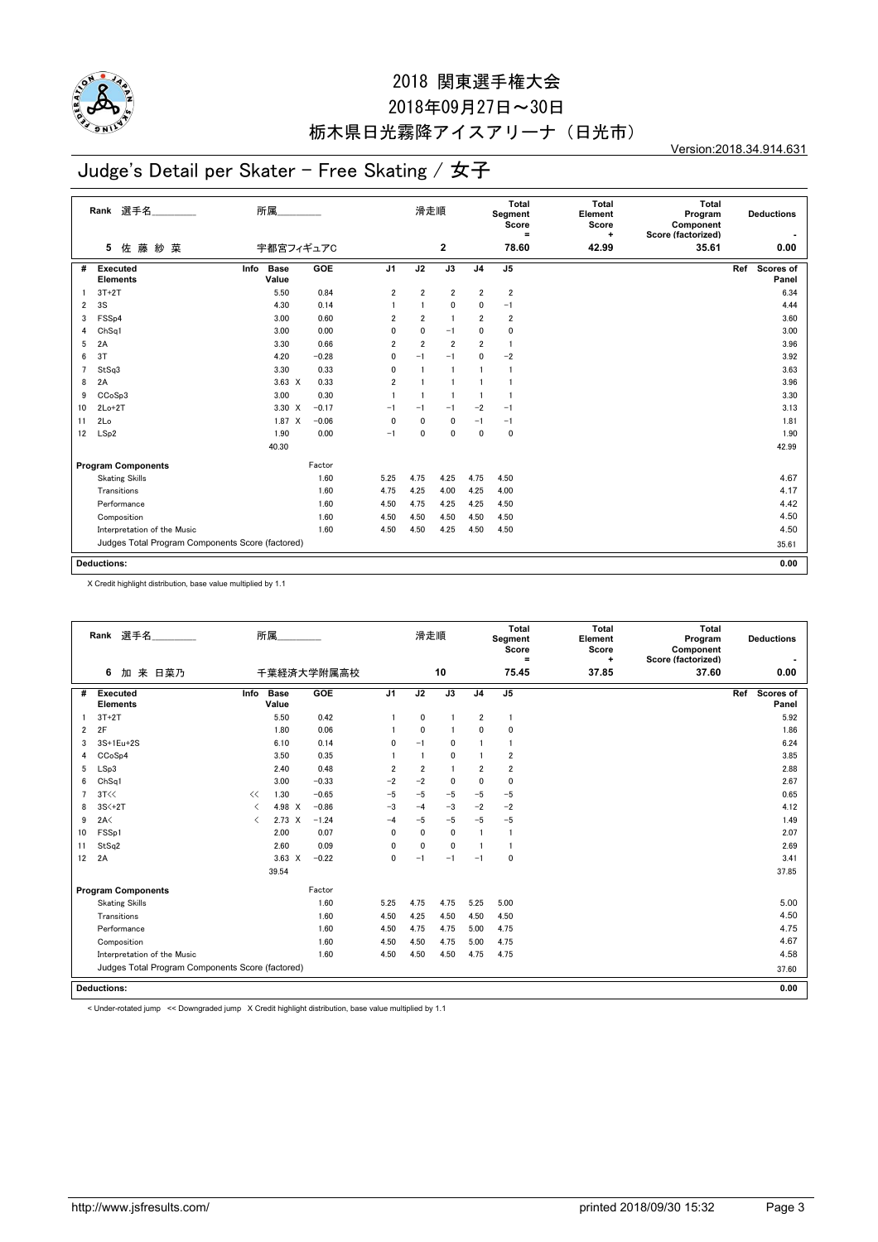

## 2018年09月27日~30日 栃木県日光霧降アイスアリーナ(日光市)

Version:2018.34.914.631

# Judge's Detail per Skater - Free Skating / 女子

|    | Rank 選手名<br>佐藤紗菜<br>5                            | 所属<br>宇都宮フィギュアC              |         |                | 滑走順            | 2               |                | Total<br>Segment<br>Score<br>$\equiv$<br>78.60 | Total<br>Element<br>Score<br>$\ddot{}$<br>42.99 | <b>Total</b><br>Program<br>Component<br>Score (factorized)<br>35.61 | <b>Deductions</b><br>0.00        |
|----|--------------------------------------------------|------------------------------|---------|----------------|----------------|-----------------|----------------|------------------------------------------------|-------------------------------------------------|---------------------------------------------------------------------|----------------------------------|
|    |                                                  |                              |         |                |                |                 |                |                                                |                                                 |                                                                     |                                  |
| #  | <b>Executed</b><br><b>Elements</b>               | Info<br><b>Base</b><br>Value | GOE     | J <sub>1</sub> | J2             | $\overline{J3}$ | J <sub>4</sub> | J <sub>5</sub>                                 |                                                 |                                                                     | Ref<br><b>Scores of</b><br>Panel |
|    | $3T+2T$                                          | 5.50                         | 0.84    | 2              | $\overline{2}$ | $\overline{2}$  | $\overline{2}$ | $\overline{\mathbf{2}}$                        |                                                 |                                                                     | 6.34                             |
| 2  | 3S                                               | 4.30                         | 0.14    |                | $\overline{1}$ | $\mathbf 0$     | 0              | $-1$                                           |                                                 |                                                                     | 4.44                             |
| 3  | FSSp4                                            | 3.00                         | 0.60    | $\overline{2}$ | $\overline{2}$ | $\overline{1}$  | $\overline{2}$ | $\overline{\mathbf{2}}$                        |                                                 |                                                                     | 3.60                             |
| 4  | Ch <sub>Sq1</sub>                                | 3.00                         | 0.00    | 0              | $\mathbf{0}$   | $-1$            | $\mathbf{0}$   | 0                                              |                                                 |                                                                     | 3.00                             |
| 5  | 2A                                               | 3.30                         | 0.66    | $\overline{2}$ | $\overline{2}$ | $\overline{2}$  | $\overline{2}$ | -1                                             |                                                 |                                                                     | 3.96                             |
| 6  | 3T                                               | 4.20                         | $-0.28$ | 0              | $-1$           | $-1$            | $\mathbf{0}$   | $-2$                                           |                                                 |                                                                     | 3.92                             |
| 7  | StSq3                                            | 3.30                         | 0.33    | 0              |                | $\overline{1}$  |                | $\mathbf{1}$                                   |                                                 |                                                                     | 3.63                             |
| 8  | 2A                                               | $3.63 \times$                | 0.33    | $\overline{2}$ |                |                 |                | 1                                              |                                                 |                                                                     | 3.96                             |
| 9  | CCoSp3                                           | 3.00                         | 0.30    |                | $\overline{1}$ | -1              | $\mathbf{1}$   | -1                                             |                                                 |                                                                     | 3.30                             |
| 10 | $2Lo+2T$                                         | 3.30 X                       | $-0.17$ | $-1$           | $-1$           | $-1$            | $-2$           | $-1$                                           |                                                 |                                                                     | 3.13                             |
| 11 | 2Lo                                              | $1.87 \times$                | $-0.06$ | 0              | 0              | 0               | $-1$           | $-1$                                           |                                                 |                                                                     | 1.81                             |
| 12 | LSp2                                             | 1.90                         | 0.00    | $-1$           | $\mathbf 0$    | $\mathbf 0$     | $\mathbf 0$    | $\pmb{0}$                                      |                                                 |                                                                     | 1.90                             |
|    |                                                  | 40.30                        |         |                |                |                 |                |                                                |                                                 |                                                                     | 42.99                            |
|    | <b>Program Components</b>                        |                              | Factor  |                |                |                 |                |                                                |                                                 |                                                                     |                                  |
|    | <b>Skating Skills</b>                            |                              | 1.60    | 5.25           | 4.75           | 4.25            | 4.75           | 4.50                                           |                                                 |                                                                     | 4.67                             |
|    | Transitions                                      |                              | 1.60    | 4.75           | 4.25           | 4.00            | 4.25           | 4.00                                           |                                                 |                                                                     | 4.17                             |
|    | Performance                                      |                              | 1.60    | 4.50           | 4.75           | 4.25            | 4.25           | 4.50                                           |                                                 |                                                                     | 4.42                             |
|    | Composition                                      |                              | 1.60    | 4.50           | 4.50           | 4.50            | 4.50           | 4.50                                           |                                                 |                                                                     | 4.50                             |
|    | Interpretation of the Music                      |                              | 1.60    | 4.50           | 4.50           | 4.25            | 4.50           | 4.50                                           |                                                 |                                                                     | 4.50                             |
|    | Judges Total Program Components Score (factored) |                              |         |                |                |                 |                |                                                |                                                 |                                                                     | 35.61                            |
|    | <b>Deductions:</b>                               |                              |         |                |                |                 |                |                                                |                                                 |                                                                     | 0.00                             |

X Credit highlight distribution, base value multiplied by 1.1

|                | Rank 選手名                                         |           | 所属                   |            |                | 滑走順            |                |                         | <b>Total</b><br>Segment<br>Score<br>Ξ | Total<br>Element<br>Score<br>$\ddot{}$ | Total<br>Program<br>Component<br>Score (factorized) | <b>Deductions</b>         |
|----------------|--------------------------------------------------|-----------|----------------------|------------|----------------|----------------|----------------|-------------------------|---------------------------------------|----------------------------------------|-----------------------------------------------------|---------------------------|
|                | 6<br>加 来 日菜乃                                     |           |                      | 千葉経済大学附属高校 |                |                | 10             |                         | 75.45                                 | 37.85                                  | 37.60                                               | 0.00                      |
| #              | Executed<br><b>Elements</b>                      | Info      | <b>Base</b><br>Value | GOE        | J <sub>1</sub> | J2             | J3             | J <sub>4</sub>          | J <sub>5</sub>                        |                                        |                                                     | Scores of<br>Ref<br>Panel |
|                | $3T+2T$                                          |           | 5.50                 | 0.42       |                | 0              | 1              | $\overline{2}$          | $\mathbf{1}$                          |                                        |                                                     | 5.92                      |
| $\overline{2}$ | 2F                                               |           | 1.80                 | 0.06       |                | $\mathbf 0$    | $\mathbf{1}$   | $\mathbf 0$             | $\mathbf 0$                           |                                        |                                                     | 1.86                      |
| 3              | 3S+1Eu+2S                                        |           | 6.10                 | 0.14       | 0              | $-1$           | 0              | -1                      | $\mathbf{1}$                          |                                        |                                                     | 6.24                      |
| 4              | CCoSp4                                           |           | 3.50                 | 0.35       |                | $\overline{1}$ | $\mathbf{0}$   |                         | $\overline{\mathbf{2}}$               |                                        |                                                     | 3.85                      |
| 5              | LSp3                                             |           | 2.40                 | 0.48       | $\overline{2}$ | $\overline{2}$ | $\blacksquare$ | $\overline{2}$          | $\overline{2}$                        |                                        |                                                     | 2.88                      |
| 6              | Ch <sub>Sq1</sub>                                |           | 3.00                 | $-0.33$    | $-2$           | $-2$           | 0              | 0                       | $\mathbf 0$                           |                                        |                                                     | 2.67                      |
| $\overline{7}$ | 3T<<                                             | <<        | 1.30                 | $-0.65$    | $-5$           | $-5$           | $-5$           | $-5$                    | $-5$                                  |                                        |                                                     | 0.65                      |
| 8              | $3S<+2T$                                         | ≺         | 4.98 X               | $-0.86$    | $-3$           | $-4$           | $-3$           | $-2$                    | $-2$                                  |                                        |                                                     | 4.12                      |
| 9              | 2A<                                              | $\langle$ | $2.73 \times$        | $-1.24$    | $-4$           | $-5$           | $-5$           | $-5$                    | $-5$                                  |                                        |                                                     | 1.49                      |
| 10             | FSSp1                                            |           | 2.00                 | 0.07       | 0              | $\mathbf{0}$   | $\mathbf 0$    | $\overline{1}$          | $\overline{1}$                        |                                        |                                                     | 2.07                      |
| 11             | StSq2                                            |           | 2.60                 | 0.09       | 0              | $\mathbf{0}$   | 0              | $\overline{\mathbf{1}}$ | $\mathbf{1}$                          |                                        |                                                     | 2.69                      |
| 12             | 2A                                               |           | $3.63 \times$        | $-0.22$    | 0              | $-1$           | $-1$           | $-1$                    | $\mathbf 0$                           |                                        |                                                     | 3.41                      |
|                |                                                  |           | 39.54                |            |                |                |                |                         |                                       |                                        |                                                     | 37.85                     |
|                | <b>Program Components</b>                        |           |                      | Factor     |                |                |                |                         |                                       |                                        |                                                     |                           |
|                | <b>Skating Skills</b>                            |           |                      | 1.60       | 5.25           | 4.75           | 4.75           | 5.25                    | 5.00                                  |                                        |                                                     | 5.00                      |
|                | Transitions                                      |           |                      | 1.60       | 4.50           | 4.25           | 4.50           | 4.50                    | 4.50                                  |                                        |                                                     | 4.50                      |
|                | Performance                                      |           |                      | 1.60       | 4.50           | 4.75           | 4.75           | 5.00                    | 4.75                                  |                                        |                                                     | 4.75                      |
|                | Composition                                      |           |                      | 1.60       | 4.50           | 4.50           | 4.75           | 5.00                    | 4.75                                  |                                        |                                                     | 4.67                      |
|                | Interpretation of the Music                      |           |                      | 1.60       | 4.50           | 4.50           | 4.50           | 4.75                    | 4.75                                  |                                        |                                                     | 4.58                      |
|                | Judges Total Program Components Score (factored) |           |                      |            |                |                |                |                         |                                       |                                        |                                                     | 37.60                     |
|                | <b>Deductions:</b>                               |           |                      |            |                |                |                |                         |                                       |                                        |                                                     | 0.00                      |
|                |                                                  |           |                      |            |                |                |                |                         |                                       |                                        |                                                     |                           |

< Under-rotated jump << Downgraded jump X Credit highlight distribution, base value multiplied by 1.1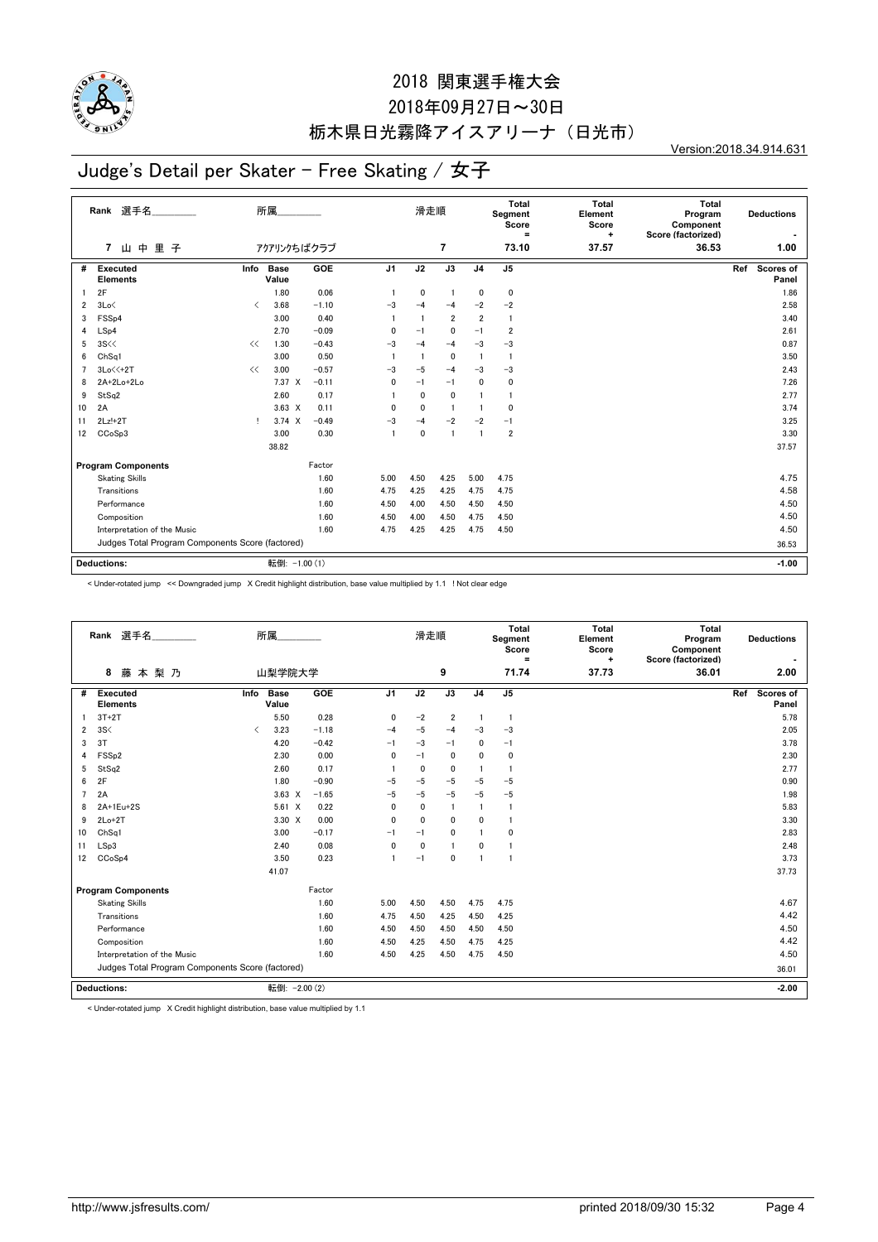

## 2018年09月27日~30日 栃木県日光霧降アイスアリーナ(日光市)

Version:2018.34.914.631

#### Judge's Detail per Skater - Free Skating / 女子

|    | Rank 選手名                                         |           | 所属                   |         |                | 滑走順          |                 |                | Total<br>Segment<br>Score<br>$\equiv$ | <b>Total</b><br>Element<br>Score<br>÷ | Total<br>Program<br>Component<br>Score (factorized) |     | <b>Deductions</b>  |
|----|--------------------------------------------------|-----------|----------------------|---------|----------------|--------------|-----------------|----------------|---------------------------------------|---------------------------------------|-----------------------------------------------------|-----|--------------------|
|    | 山中<br>里子<br>7                                    |           | アクアリンクちばクラブ          |         |                |              | $\overline{7}$  |                | 73.10                                 | 37.57                                 | 36.53                                               |     | 1.00               |
| #  | Executed<br><b>Elements</b>                      | Info      | <b>Base</b><br>Value | GOE     | J <sub>1</sub> | J2           | $\overline{J3}$ | J <sub>4</sub> | J5                                    |                                       |                                                     | Ref | Scores of<br>Panel |
|    | 2F                                               |           | 1.80                 | 0.06    |                | 0            | -1              | 0              | 0                                     |                                       |                                                     |     | 1.86               |
| 2  | 3Lo<                                             | $\langle$ | 3.68                 | $-1.10$ | $-3$           | $-4$         | $-4$            | $-2$           | $-2$                                  |                                       |                                                     |     | 2.58               |
| 3  | FSS <sub>p4</sub>                                |           | 3.00                 | 0.40    |                |              | $\overline{2}$  | $\overline{2}$ | 1                                     |                                       |                                                     |     | 3.40               |
| 4  | LSp4                                             |           | 2.70                 | $-0.09$ | $\mathbf{0}$   | $-1$         | $\mathbf 0$     | $-1$           | $\overline{2}$                        |                                       |                                                     |     | 2.61               |
| 5  | 3S <                                             | <<        | 1.30                 | $-0.43$ | $-3$           | $-4$         | $-4$            | $-3$           | $-3$                                  |                                       |                                                     |     | 0.87               |
| 6  | Ch <sub>Sq1</sub>                                |           | 3.00                 | 0.50    |                | -1           | 0               | $\mathbf{1}$   | $\mathbf{1}$                          |                                       |                                                     |     | 3.50               |
| 7  | $3Lo \leq 2T$                                    | <<        | 3.00                 | $-0.57$ | $-3$           | $-5$         | $-4$            | $-3$           | $-3$                                  |                                       |                                                     |     | 2.43               |
| 8  | 2A+2Lo+2Lo                                       |           | 7.37 X               | $-0.11$ | $\mathbf{0}$   | $-1$         | $-1$            | 0              | 0                                     |                                       |                                                     |     | 7.26               |
| 9  | StSq2                                            |           | 2.60                 | 0.17    |                | $\mathbf{0}$ | $\mathbf{0}$    |                | $\mathbf{1}$                          |                                       |                                                     |     | 2.77               |
| 10 | 2A                                               |           | $3.63 \times$        | 0.11    | $\mathbf{0}$   | $\mathbf{0}$ | $\overline{1}$  | $\mathbf{1}$   | 0                                     |                                       |                                                     |     | 3.74               |
| 11 | $2Lz!+2T$                                        | л.        | $3.74 \times$        | $-0.49$ | $-3$           | $-4$         | $-2$            | $-2$           | $-1$                                  |                                       |                                                     |     | 3.25               |
| 12 | CCoSp3                                           |           | 3.00                 | 0.30    | $\overline{1}$ | 0            | $\overline{1}$  | $\mathbf{1}$   | $\overline{2}$                        |                                       |                                                     |     | 3.30               |
|    |                                                  |           | 38.82                |         |                |              |                 |                |                                       |                                       |                                                     |     | 37.57              |
|    | <b>Program Components</b>                        |           |                      | Factor  |                |              |                 |                |                                       |                                       |                                                     |     |                    |
|    | <b>Skating Skills</b>                            |           |                      | 1.60    | 5.00           | 4.50         | 4.25            | 5.00           | 4.75                                  |                                       |                                                     |     | 4.75               |
|    | Transitions                                      |           |                      | 1.60    | 4.75           | 4.25         | 4.25            | 4.75           | 4.75                                  |                                       |                                                     |     | 4.58               |
|    | Performance                                      |           |                      | 1.60    | 4.50           | 4.00         | 4.50            | 4.50           | 4.50                                  |                                       |                                                     |     | 4.50               |
|    | Composition                                      |           |                      | 1.60    | 4.50           | 4.00         | 4.50            | 4.75           | 4.50                                  |                                       |                                                     |     | 4.50               |
|    | Interpretation of the Music                      |           |                      | 1.60    | 4.75           | 4.25         | 4.25            | 4.75           | 4.50                                  |                                       |                                                     |     | 4.50               |
|    | Judges Total Program Components Score (factored) |           |                      |         |                |              |                 |                |                                       |                                       |                                                     |     | 36.53              |
|    |                                                  |           |                      |         |                |              |                 |                |                                       |                                       |                                                     |     |                    |
|    | <b>Deductions:</b>                               |           | 転倒: -1.00 (1)        |         |                |              |                 |                |                                       |                                       |                                                     |     | $-1.00$            |

< Under-rotated jump << Downgraded jump X Credit highlight distribution, base value multiplied by 1.1 ! Not clear edge

|                | 選手名<br>Rank                                      | 所属                           |         |                | 滑走順          |                |                | Total<br>Segment<br>Score<br>Ξ | <b>Total</b><br>Element<br>Score<br>÷ | Total<br>Program<br>Component<br>Score (factorized) | <b>Deductions</b>         |
|----------------|--------------------------------------------------|------------------------------|---------|----------------|--------------|----------------|----------------|--------------------------------|---------------------------------------|-----------------------------------------------------|---------------------------|
|                | 8<br>藤<br>本梨乃                                    | 山梨学院大学                       |         |                |              | 9              |                | 71.74                          | 37.73                                 | 36.01                                               | 2.00                      |
| #              | Executed<br><b>Elements</b>                      | Info<br><b>Base</b><br>Value | GOE     | J <sub>1</sub> | J2           | J3             | J <sub>4</sub> | J5                             |                                       |                                                     | Scores of<br>Ref<br>Panel |
|                | $3T+2T$                                          | 5.50                         | 0.28    | 0              | $-2$         | $\overline{2}$ | $\overline{1}$ | $\mathbf{1}$                   |                                       |                                                     | 5.78                      |
| $\overline{2}$ | 3S<                                              | 3.23<br>$\langle$            | $-1.18$ | $-4$           | $-5$         | $-4$           | $-3$           | $-3$                           |                                       |                                                     | 2.05                      |
| 3              | 3T                                               | 4.20                         | $-0.42$ | $-1$           | $-3$         | $-1$           | $\mathbf{0}$   | $-1$                           |                                       |                                                     | 3.78                      |
| 4              | FSS <sub>p2</sub>                                | 2.30                         | 0.00    | 0              | $-1$         | 0              | $\mathbf{0}$   | $\mathbf 0$                    |                                       |                                                     | 2.30                      |
| 5              | StSq2                                            | 2.60                         | 0.17    | -1             | $\mathbf{0}$ | 0              | $\overline{1}$ | $\mathbf{1}$                   |                                       |                                                     | 2.77                      |
| 6              | 2F                                               | 1.80                         | $-0.90$ | $-5$           | $-5$         | $-5$           | $-5$           | $-5$                           |                                       |                                                     | 0.90                      |
| $\overline{7}$ | 2A                                               | $3.63 \times$                | $-1.65$ | $-5$           | $-5$         | $-5$           | $-5$           | $-5$                           |                                       |                                                     | 1.98                      |
| 8              | 2A+1Eu+2S                                        | $5.61 \t X$                  | 0.22    | 0              | $\mathbf{0}$ | 1              | $\overline{1}$ | -1                             |                                       |                                                     | 5.83                      |
| 9              | $2Lo+2T$                                         | 3.30 X                       | 0.00    | $\mathbf{0}$   | $\mathbf{0}$ | 0              | $\mathbf{0}$   | $\mathbf{1}$                   |                                       |                                                     | 3.30                      |
| 10             | Ch <sub>Sq1</sub>                                | 3.00                         | $-0.17$ | $-1$           | $-1$         | $\mathbf{0}$   | $\overline{1}$ | $\Omega$                       |                                       |                                                     | 2.83                      |
| 11             | LSp3                                             | 2.40                         | 0.08    | $\mathbf{0}$   | $\mathbf{0}$ | 1              | $\mathbf{0}$   | -1                             |                                       |                                                     | 2.48                      |
| 12             | CCoSp4                                           | 3.50                         | 0.23    | 1              | $-1$         | 0              | $\overline{1}$ | -1                             |                                       |                                                     | 3.73                      |
|                |                                                  | 41.07                        |         |                |              |                |                |                                |                                       |                                                     | 37.73                     |
|                | <b>Program Components</b>                        |                              | Factor  |                |              |                |                |                                |                                       |                                                     |                           |
|                | <b>Skating Skills</b>                            |                              | 1.60    | 5.00           | 4.50         | 4.50           | 4.75           | 4.75                           |                                       |                                                     | 4.67                      |
|                | Transitions                                      |                              | 1.60    | 4.75           | 4.50         | 4.25           | 4.50           | 4.25                           |                                       |                                                     | 4.42                      |
|                | Performance                                      |                              | 1.60    | 4.50           | 4.50         | 4.50           | 4.50           | 4.50                           |                                       |                                                     | 4.50                      |
|                | Composition                                      |                              | 1.60    | 4.50           | 4.25         | 4.50           | 4.75           | 4.25                           |                                       |                                                     | 4.42                      |
|                | Interpretation of the Music                      |                              | 1.60    | 4.50           | 4.25         | 4.50           | 4.75           | 4.50                           |                                       |                                                     | 4.50                      |
|                | Judges Total Program Components Score (factored) |                              |         |                |              |                |                |                                |                                       |                                                     | 36.01                     |
|                | <b>Deductions:</b>                               | 転倒: - 2.00 (2)               |         |                |              |                |                |                                |                                       |                                                     | $-2.00$                   |

< Under-rotated jump X Credit highlight distribution, base value multiplied by 1.1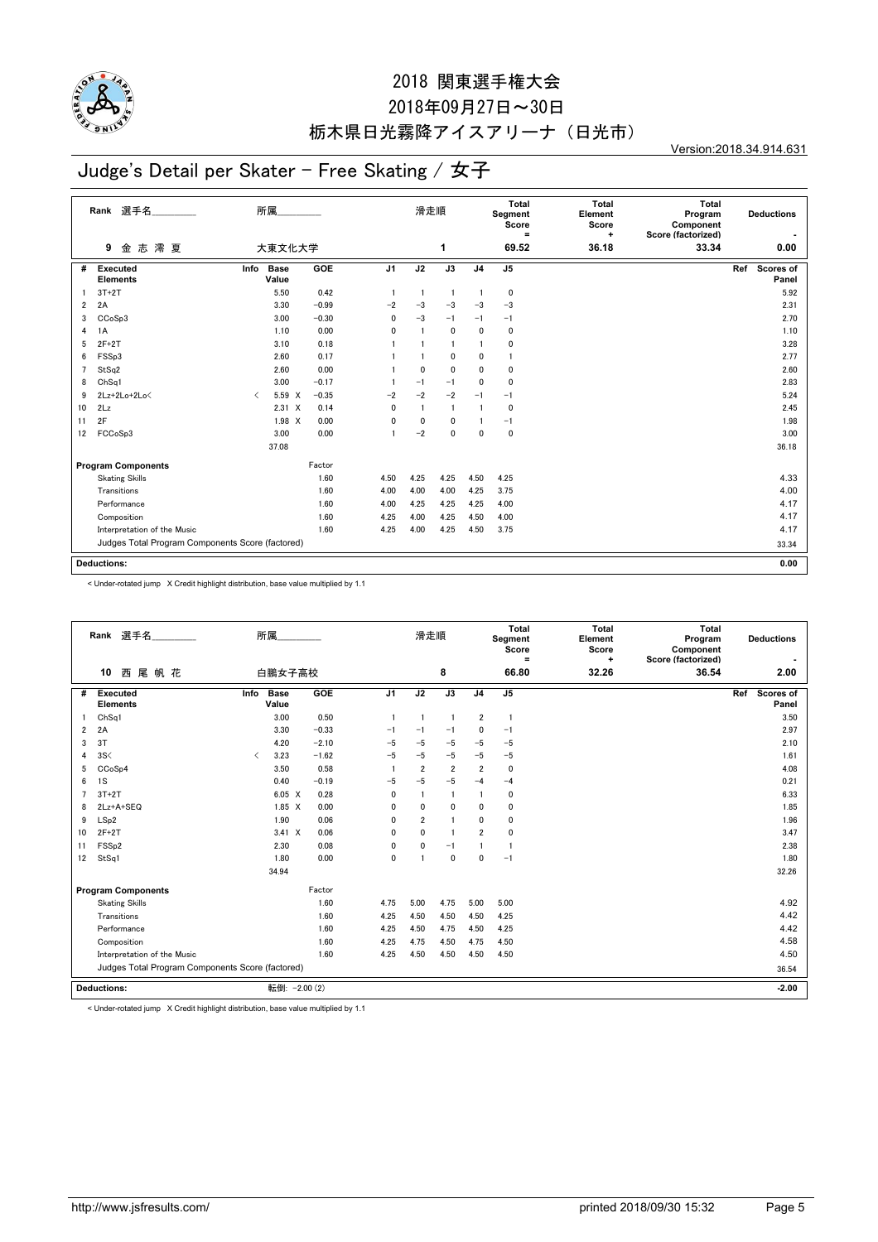

## 2018年09月27日~30日 栃木県日光霧降アイスアリーナ(日光市)

Version:2018.34.914.631

# Judge's Detail per Skater - Free Skating / 女子

|    | 選手名<br>Rank<br>志澪夏<br>9                          |                               | 所属<br>大東文化大学         |         |                | 滑走順            | 1              |                | <b>Total</b><br>Segment<br>Score<br>Ξ<br>69.52 | Total<br>Element<br>Score<br>$\ddot{}$<br>36.18 | <b>Total</b><br>Program<br>Component<br>Score (factorized)<br>33.34 |     | <b>Deductions</b><br>0.00 |
|----|--------------------------------------------------|-------------------------------|----------------------|---------|----------------|----------------|----------------|----------------|------------------------------------------------|-------------------------------------------------|---------------------------------------------------------------------|-----|---------------------------|
|    | 金                                                |                               |                      |         |                |                |                |                |                                                |                                                 |                                                                     |     |                           |
| #  | <b>Executed</b><br><b>Elements</b>               | Info                          | <b>Base</b><br>Value | GOE     | J <sub>1</sub> | J2             | J3             | J <sub>4</sub> | J <sub>5</sub>                                 |                                                 |                                                                     | Ref | Scores of<br>Panel        |
|    | $3T+2T$                                          |                               | 5.50                 | 0.42    | $\overline{1}$ | $\overline{1}$ | $\overline{1}$ | $\overline{1}$ | 0                                              |                                                 |                                                                     |     | 5.92                      |
| 2  | 2A                                               |                               | 3.30                 | $-0.99$ | $-2$           | $-3$           | $-3$           | $-3$           | $-3$                                           |                                                 |                                                                     |     | 2.31                      |
| 3  | CC <sub>o</sub> S <sub>p</sub> 3                 |                               | 3.00                 | $-0.30$ | 0              | $-3$           | $-1$           | $-1$           | $-1$                                           |                                                 |                                                                     |     | 2.70                      |
| 4  | 1A                                               |                               | 1.10                 | 0.00    | $\mathbf{0}$   | $\overline{1}$ | $\mathbf 0$    | $\mathbf{0}$   | 0                                              |                                                 |                                                                     |     | 1.10                      |
| 5  | $2F+2T$                                          |                               | 3.10                 | 0.18    |                |                | $\mathbf{1}$   |                | 0                                              |                                                 |                                                                     |     | 3.28                      |
| 6  | FSSp3                                            |                               | 2.60                 | 0.17    |                |                | $\mathbf{0}$   | $\mathbf{0}$   | 1                                              |                                                 |                                                                     |     | 2.77                      |
| 7  | StSq2                                            |                               | 2.60                 | 0.00    |                | $\mathbf{0}$   | $\mathbf{0}$   | $\mathbf{0}$   | 0                                              |                                                 |                                                                     |     | 2.60                      |
| 8  | Ch <sub>Sq1</sub>                                |                               | 3.00                 | $-0.17$ |                | $-1$           | $-1$           | $\mathbf{0}$   | 0                                              |                                                 |                                                                     |     | 2.83                      |
| 9  | 2Lz+2Lo+2Lo<                                     | $\overline{\left( \right. }%$ | 5.59 X               | $-0.35$ | $-2$           | $-2$           | $-2$           | $-1$           | $-1$                                           |                                                 |                                                                     |     | 5.24                      |
| 10 | 2Lz                                              |                               | $2.31 \t X$          | 0.14    | 0              | $\overline{1}$ | $\mathbf{1}$   | $\mathbf{1}$   | 0                                              |                                                 |                                                                     |     | 2.45                      |
| 11 | 2F                                               |                               | $1.98 \times$        | 0.00    | 0              | 0              | $\mathbf{0}$   |                | $-1$                                           |                                                 |                                                                     |     | 1.98                      |
| 12 | FCCoSp3                                          |                               | 3.00                 | 0.00    |                | $-2$           | $\mathbf 0$    | $\mathbf 0$    | $\mathbf 0$                                    |                                                 |                                                                     |     | 3.00                      |
|    |                                                  |                               | 37.08                |         |                |                |                |                |                                                |                                                 |                                                                     |     | 36.18                     |
|    | <b>Program Components</b>                        |                               |                      | Factor  |                |                |                |                |                                                |                                                 |                                                                     |     |                           |
|    | <b>Skating Skills</b>                            |                               |                      | 1.60    | 4.50           | 4.25           | 4.25           | 4.50           | 4.25                                           |                                                 |                                                                     |     | 4.33                      |
|    | Transitions                                      |                               |                      | 1.60    | 4.00           | 4.00           | 4.00           | 4.25           | 3.75                                           |                                                 |                                                                     |     | 4.00                      |
|    | Performance                                      |                               |                      | 1.60    | 4.00           | 4.25           | 4.25           | 4.25           | 4.00                                           |                                                 |                                                                     |     | 4.17                      |
|    | Composition                                      |                               |                      | 1.60    | 4.25           | 4.00           | 4.25           | 4.50           | 4.00                                           |                                                 |                                                                     |     | 4.17                      |
|    | Interpretation of the Music                      |                               |                      | 1.60    | 4.25           | 4.00           | 4.25           | 4.50           | 3.75                                           |                                                 |                                                                     |     | 4.17                      |
|    | Judges Total Program Components Score (factored) |                               |                      |         |                |                |                |                |                                                |                                                 |                                                                     |     | 33.34                     |
|    |                                                  |                               |                      |         |                |                |                |                |                                                |                                                 |                                                                     |     |                           |
|    | <b>Deductions:</b>                               |                               |                      |         |                |                |                |                |                                                |                                                 |                                                                     |     | 0.00                      |

< Under-rotated jump X Credit highlight distribution, base value multiplied by 1.1

|                | Rank 選手名<br>西尾帆花<br>10                           |           | 所属<br>白鵬女子高校         |         |                | 滑走順            | 8              |                | Total<br>Segment<br>Score<br>$\equiv$<br>66.80 | <b>Total</b><br>Element<br>Score<br>÷<br>32.26 | Total<br>Program<br>Component<br>Score (factorized)<br>36.54 |     | <b>Deductions</b><br>2.00 |
|----------------|--------------------------------------------------|-----------|----------------------|---------|----------------|----------------|----------------|----------------|------------------------------------------------|------------------------------------------------|--------------------------------------------------------------|-----|---------------------------|
|                |                                                  |           |                      |         |                |                |                |                |                                                |                                                |                                                              |     |                           |
| #              | Executed<br><b>Elements</b>                      | Info      | <b>Base</b><br>Value | GOE     | J <sub>1</sub> | J2             | J3             | J <sub>4</sub> | J <sub>5</sub>                                 |                                                |                                                              | Ref | <b>Scores of</b><br>Panel |
|                | ChSa1                                            |           | 3.00                 | 0.50    | -1             | $\overline{1}$ | $\overline{1}$ | $\overline{2}$ | $\overline{1}$                                 |                                                |                                                              |     | 3.50                      |
| 2              | 2A                                               |           | 3.30                 | $-0.33$ | $-1$           | $-1$           | $-1$           | 0              | $-1$                                           |                                                |                                                              |     | 2.97                      |
| 3              | 3T                                               |           | 4.20                 | $-2.10$ | $-5$           | $-5$           | $-5$           | $-5$           | $-5$                                           |                                                |                                                              |     | 2.10                      |
| 4              | 3S<                                              | $\langle$ | 3.23                 | $-1.62$ | $-5$           | $-5$           | $-5$           | $-5$           | $-5$                                           |                                                |                                                              |     | 1.61                      |
| 5              | CC <sub>o</sub> S <sub>p4</sub>                  |           | 3.50                 | 0.58    |                | $\overline{2}$ | $\overline{2}$ | $\overline{2}$ | $\Omega$                                       |                                                |                                                              |     | 4.08                      |
| 6              | 1S                                               |           | 0.40                 | $-0.19$ | $-5$           | $-5$           | $-5$           | $-4$           | $-4$                                           |                                                |                                                              |     | 0.21                      |
| $\overline{7}$ | $3T+2T$                                          |           | $6.05 \quad X$       | 0.28    | $\mathbf{0}$   | $\overline{1}$ | $\overline{1}$ | $\mathbf{1}$   | $\mathbf 0$                                    |                                                |                                                              |     | 6.33                      |
| 8              | 2Lz+A+SEQ                                        |           | $1.85 \quad X$       | 0.00    | $\mathbf{0}$   | 0              | 0              | 0              | $\mathbf 0$                                    |                                                |                                                              |     | 1.85                      |
| 9              | LSp2                                             |           | 1.90                 | 0.06    | $\mathbf{0}$   | $\overline{2}$ | $\blacksquare$ | 0              | $\mathbf 0$                                    |                                                |                                                              |     | 1.96                      |
| 10             | $2F+2T$                                          |           | $3.41 \times$        | 0.06    | $\mathbf{0}$   | $\mathbf{0}$   | $\overline{1}$ | $\overline{2}$ | $\mathbf 0$                                    |                                                |                                                              |     | 3.47                      |
| 11             | FSS <sub>p2</sub>                                |           | 2.30                 | 0.08    | $\mathbf{0}$   | $\mathbf{0}$   | $-1$           | $\mathbf{1}$   | $\mathbf{1}$                                   |                                                |                                                              |     | 2.38                      |
| 12             | StSq1                                            |           | 1.80                 | 0.00    | $\mathbf{0}$   | $\overline{1}$ | $\mathbf{0}$   | 0              | $-1$                                           |                                                |                                                              |     | 1.80                      |
|                |                                                  |           | 34.94                |         |                |                |                |                |                                                |                                                |                                                              |     | 32.26                     |
|                | <b>Program Components</b>                        |           |                      | Factor  |                |                |                |                |                                                |                                                |                                                              |     |                           |
|                | <b>Skating Skills</b>                            |           |                      | 1.60    | 4.75           | 5.00           | 4.75           | 5.00           | 5.00                                           |                                                |                                                              |     | 4.92                      |
|                | Transitions                                      |           |                      | 1.60    | 4.25           | 4.50           | 4.50           | 4.50           | 4.25                                           |                                                |                                                              |     | 4.42                      |
|                | Performance                                      |           |                      | 1.60    | 4.25           | 4.50           | 4.75           | 4.50           | 4.25                                           |                                                |                                                              |     | 4.42                      |
|                | Composition                                      |           |                      | 1.60    | 4.25           | 4.75           | 4.50           | 4.75           | 4.50                                           |                                                |                                                              |     | 4.58                      |
|                | Interpretation of the Music                      |           |                      | 1.60    | 4.25           | 4.50           | 4.50           | 4.50           | 4.50                                           |                                                |                                                              |     | 4.50                      |
|                | Judges Total Program Components Score (factored) |           |                      |         |                |                |                |                |                                                |                                                |                                                              |     | 36.54                     |
|                | <b>Deductions:</b>                               |           | 転倒: - 2.00 (2)       |         |                |                |                |                |                                                |                                                |                                                              |     | $-2.00$                   |

< Under-rotated jump X Credit highlight distribution, base value multiplied by 1.1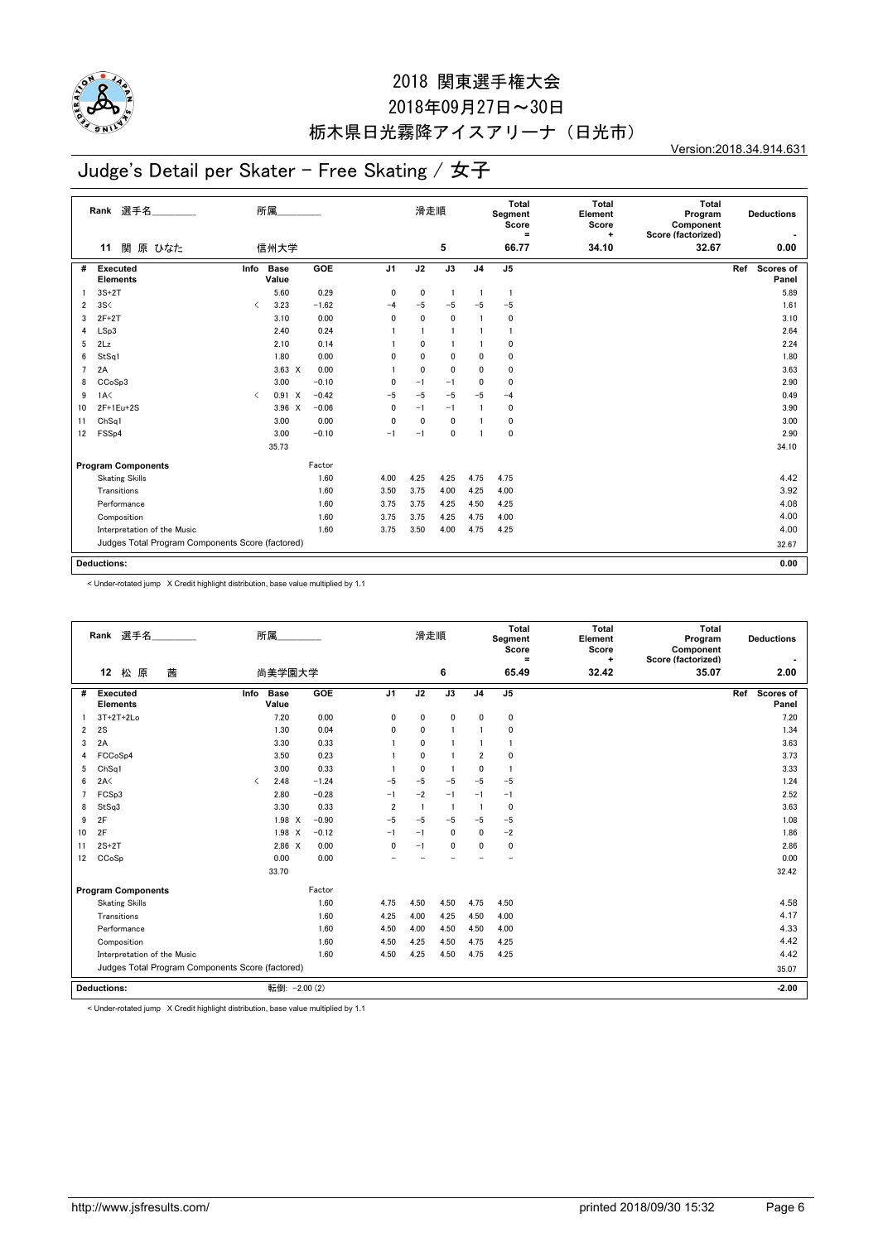

## 2018年09月27日~30日 栃木県日光霧降アイスアリーナ(日光市)

Version:2018.34.914.631

# Judge's Detail per Skater - Free Skating / 女子

|                | Rank 選手名<br>関 原 ひなた<br>11                        |                               | 所属<br>信州大学    |         |                | 滑走順            | 5              |                | Total<br>Segment<br>Score<br>$\equiv$<br>66.77 | <b>Total</b><br>Element<br>Score<br>÷<br>34.10 | <b>Total</b><br>Program<br>Component<br>Score (factorized)<br>32.67 | <b>Deductions</b><br>0.00 |
|----------------|--------------------------------------------------|-------------------------------|---------------|---------|----------------|----------------|----------------|----------------|------------------------------------------------|------------------------------------------------|---------------------------------------------------------------------|---------------------------|
| #              | Executed                                         | Info                          | <b>Base</b>   | GOE     | J <sub>1</sub> | J2             | J3             | J <sub>4</sub> | J <sub>5</sub>                                 |                                                |                                                                     | Ref<br>Scores of          |
|                | <b>Elements</b>                                  |                               | Value         |         |                |                |                |                |                                                |                                                |                                                                     | Panel                     |
|                | $3S+2T$                                          |                               | 5.60          | 0.29    | 0              | 0              | $\overline{1}$ | $\overline{1}$ | $\mathbf{1}$                                   |                                                |                                                                     | 5.89                      |
| $\overline{2}$ | 3S<                                              | $\overline{\left( \right. }%$ | 3.23          | $-1.62$ | $-4$           | $-5$           | $-5$           | $-5$           | $-5$                                           |                                                |                                                                     | 1.61                      |
| 3              | $2F+2T$                                          |                               | 3.10          | 0.00    | $\mathbf{0}$   | 0              | $\mathbf 0$    |                | 0                                              |                                                |                                                                     | 3.10                      |
| 4              | LSp3                                             |                               | 2.40          | 0.24    |                | $\overline{1}$ | $\overline{1}$ |                | -1                                             |                                                |                                                                     | 2.64                      |
| 5              | 2Lz                                              |                               | 2.10          | 0.14    |                | 0              |                |                | 0                                              |                                                |                                                                     | 2.24                      |
| 6              | StSq1                                            |                               | 1.80          | 0.00    | 0              | $\mathbf 0$    | $\mathbf 0$    | 0              | 0                                              |                                                |                                                                     | 1.80                      |
| 7              | 2A                                               |                               | $3.63 \times$ | 0.00    |                | $\mathbf{0}$   | $\mathbf{0}$   | $\mathbf{0}$   | 0                                              |                                                |                                                                     | 3.63                      |
| 8              | CCoSp3                                           |                               | 3.00          | $-0.10$ | 0              | $-1$           | $-1$           | $\mathbf{0}$   | 0                                              |                                                |                                                                     | 2.90                      |
| 9              | 1A<                                              | $\overline{\left( \right. }%$ | 0.91 X        | $-0.42$ | $-5$           | $-5$           | $-5$           | $-5$           | $-4$                                           |                                                |                                                                     | 0.49                      |
| 10             | 2F+1Eu+2S                                        |                               | $3.96 \times$ | $-0.06$ | 0              | $-1$           | $-1$           | $\mathbf{1}$   | 0                                              |                                                |                                                                     | 3.90                      |
| 11             | Ch <sub>Sq1</sub>                                |                               | 3.00          | 0.00    | 0              | $\mathbf 0$    | $\mathbf 0$    |                | 0                                              |                                                |                                                                     | 3.00                      |
| 12             | FSS <sub>p4</sub>                                |                               | 3.00          | $-0.10$ | $-1$           | $-1$           | 0              | $\mathbf{1}$   | 0                                              |                                                |                                                                     | 2.90                      |
|                |                                                  |                               | 35.73         |         |                |                |                |                |                                                |                                                |                                                                     | 34.10                     |
|                | <b>Program Components</b>                        |                               |               | Factor  |                |                |                |                |                                                |                                                |                                                                     |                           |
|                | <b>Skating Skills</b>                            |                               |               | 1.60    | 4.00           | 4.25           | 4.25           | 4.75           | 4.75                                           |                                                |                                                                     | 4.42                      |
|                | Transitions                                      |                               |               | 1.60    | 3.50           | 3.75           | 4.00           | 4.25           | 4.00                                           |                                                |                                                                     | 3.92                      |
|                | Performance                                      |                               |               | 1.60    | 3.75           | 3.75           | 4.25           | 4.50           | 4.25                                           |                                                |                                                                     | 4.08                      |
|                | Composition                                      |                               |               | 1.60    | 3.75           | 3.75           | 4.25           | 4.75           | 4.00                                           |                                                |                                                                     | 4.00                      |
|                | Interpretation of the Music                      |                               |               | 1.60    | 3.75           | 3.50           | 4.00           | 4.75           | 4.25                                           |                                                |                                                                     | 4.00                      |
|                | Judges Total Program Components Score (factored) |                               |               |         |                |                |                |                |                                                |                                                |                                                                     | 32.67                     |
|                | <b>Deductions:</b>                               |                               |               |         |                |                |                |                |                                                |                                                |                                                                     | 0.00                      |

< Under-rotated jump X Credit highlight distribution, base value multiplied by 1.1

| Rank 選手名<br>茜<br>12<br>松<br>原                    | 所属<br>尚美学園大学                          |            |                         | 滑走順            | 6              |                | Total<br>Segment<br>Score<br>Ξ<br>65.49 | <b>Total</b><br>Element<br>Score<br>$\ddot{}$<br>32.42 | Total<br>Program<br>Component<br>Score (factorized)<br>35.07 | <b>Deductions</b><br>2.00 |
|--------------------------------------------------|---------------------------------------|------------|-------------------------|----------------|----------------|----------------|-----------------------------------------|--------------------------------------------------------|--------------------------------------------------------------|---------------------------|
| Executed<br>#                                    | <b>Base</b><br>Info                   | GOE        | J <sub>1</sub>          | J2             | J3             | J <sub>4</sub> | J <sub>5</sub>                          |                                                        |                                                              | Ref<br>Scores of          |
| <b>Elements</b>                                  | Value                                 |            |                         |                |                |                |                                         |                                                        |                                                              | Panel                     |
| $3T+2T+2Lo$                                      | 7.20                                  | 0.00       | 0                       | $\mathbf 0$    | $\mathbf 0$    | $\mathbf 0$    | 0                                       |                                                        |                                                              | 7.20                      |
| 2S<br>2                                          | 1.30                                  | 0.04       | 0                       | $\mathbf 0$    | $\mathbf{1}$   | $\mathbf{1}$   | 0                                       |                                                        |                                                              | 1.34                      |
| 2A<br>3                                          | 3.30                                  | 0.33       |                         | $\mathbf{0}$   |                |                |                                         |                                                        |                                                              | 3.63                      |
| FCCoSp4<br>4                                     | 3.50                                  | 0.23       |                         | $\mathbf{0}$   | -1             | $\overline{2}$ | 0                                       |                                                        |                                                              | 3.73                      |
| ChSq1<br>5                                       | 3.00                                  | 0.33       |                         | $\mathbf{0}$   | $\blacksquare$ | $\Omega$       | 1                                       |                                                        |                                                              | 3.33                      |
| 2A<<br>6                                         | 2.48<br>$\overline{\left( \right. }%$ | $-1.24$    | $-5$                    | $-5$           | $-5$           | $-5$           | $-5$                                    |                                                        |                                                              | 1.24                      |
| FCS <sub>p3</sub>                                | 2.80                                  | $-0.28$    | $-1$                    | $-2$           | $-1$           | $-1$           | $-1$                                    |                                                        |                                                              | 2.52                      |
| StSq3<br>8                                       | 3.30                                  | 0.33       | $\overline{\mathbf{2}}$ | $\overline{1}$ | $\overline{1}$ | $\mathbf{1}$   | 0                                       |                                                        |                                                              | 3.63                      |
| 2F<br>9                                          | $1.98 \times$                         | $-0.90$    | $-5$                    | $-5$           | $-5$           | $-5$           | $-5$                                    |                                                        |                                                              | 1.08                      |
| 2F<br>10                                         | 1.98 X                                | $-0.12$    | $-1$                    | $-1$           | $\mathbf 0$    | $\Omega$       | $-2$                                    |                                                        |                                                              | 1.86                      |
| $2S+2T$<br>11                                    | $2.86 \t X$                           | 0.00       | $\mathbf{0}$            | $-1$           | $\mathbf{0}$   | $\Omega$       | $\mathbf 0$                             |                                                        |                                                              | 2.86                      |
| CCoSp<br>12                                      | 0.00                                  | 0.00       |                         |                |                |                | $\overline{\phantom{0}}$                |                                                        |                                                              | 0.00                      |
|                                                  | 33.70                                 |            |                         |                |                |                |                                         |                                                        |                                                              | 32.42                     |
| <b>Program Components</b>                        |                                       | Factor     |                         |                |                |                |                                         |                                                        |                                                              |                           |
| <b>Skating Skills</b>                            |                                       | 1.60       | 4.75                    | 4.50           | 4.50           | 4.75           | 4.50                                    |                                                        |                                                              | 4.58                      |
| Transitions                                      |                                       | 1.60       | 4.25                    | 4.00           | 4.25           | 4.50           | 4.00                                    |                                                        |                                                              | 4.17                      |
| Performance                                      |                                       | 1.60       | 4.50                    | 4.00           | 4.50           | 4.50           | 4.00                                    |                                                        |                                                              | 4.33                      |
| Composition                                      |                                       | 1.60       | 4.50                    | 4.25           | 4.50           | 4.75           | 4.25                                    |                                                        |                                                              | 4.42                      |
| Interpretation of the Music                      |                                       | 1.60       | 4.50                    | 4.25           | 4.50           | 4.75           | 4.25                                    |                                                        |                                                              | 4.42                      |
| Judges Total Program Components Score (factored) |                                       |            |                         |                |                |                |                                         |                                                        |                                                              | 35.07                     |
| <b>Deductions:</b>                               | 転倒:                                   | $-2.00(2)$ |                         |                |                |                |                                         |                                                        |                                                              | $-2.00$                   |

< Under-rotated jump X Credit highlight distribution, base value multiplied by 1.1